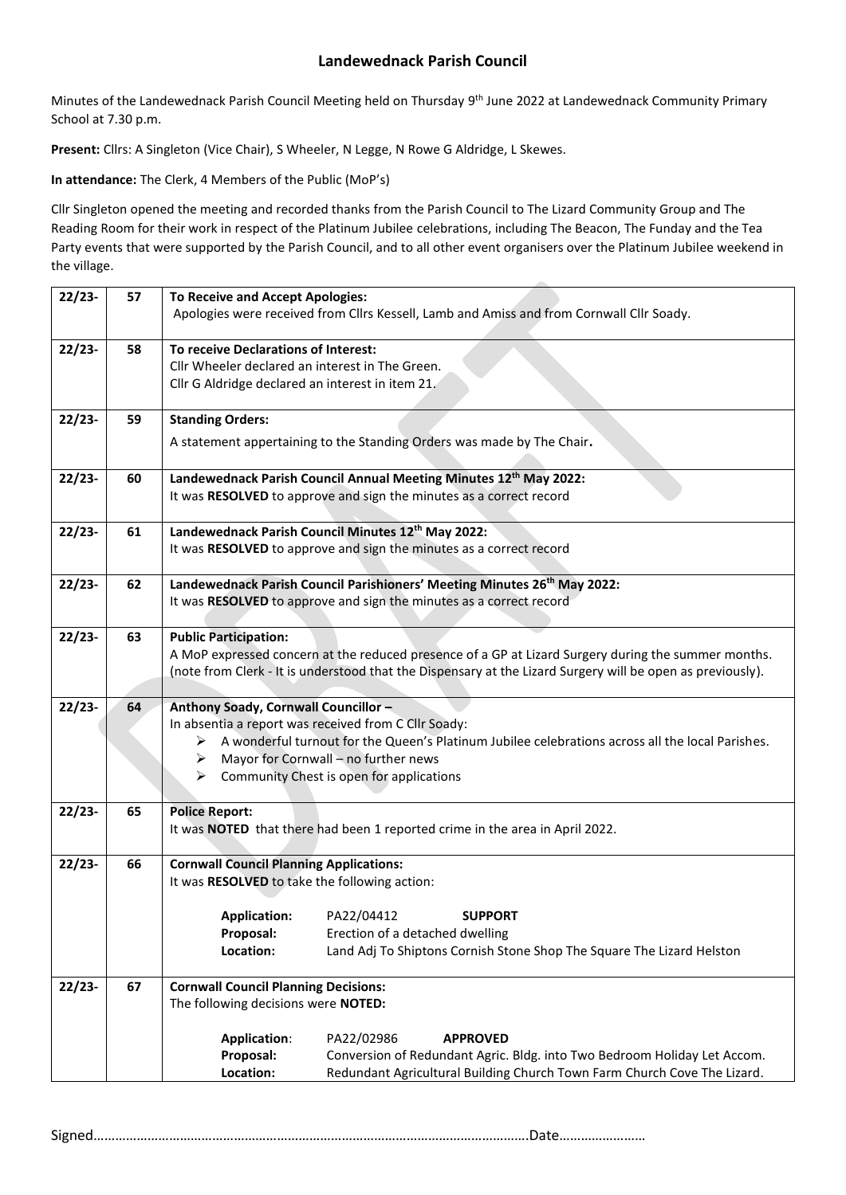## **Landewednack Parish Council**

Minutes of the Landewednack Parish Council Meeting held on Thursday 9<sup>th</sup> June 2022 at Landewednack Community Primary School at 7.30 p.m.

Present: Cllrs: A Singleton (Vice Chair), S Wheeler, N Legge, N Rowe G Aldridge, L Skewes.

**In attendance:** The Clerk, 4 Members of the Public (MoP's)

Cllr Singleton opened the meeting and recorded thanks from the Parish Council to The Lizard Community Group and The Reading Room for their work in respect of the Platinum Jubilee celebrations, including The Beacon, The Funday and the Tea Party events that were supported by the Parish Council, and to all other event organisers over the Platinum Jubilee weekend in the village.

| $22/23-$ | 57 | <b>To Receive and Accept Apologies:</b>                                                                    |  |  |  |  |  |  |
|----------|----|------------------------------------------------------------------------------------------------------------|--|--|--|--|--|--|
|          |    | Apologies were received from Cllrs Kessell, Lamb and Amiss and from Cornwall Cllr Soady.                   |  |  |  |  |  |  |
|          |    |                                                                                                            |  |  |  |  |  |  |
| $22/23-$ | 58 | To receive Declarations of Interest:                                                                       |  |  |  |  |  |  |
|          |    | Cllr Wheeler declared an interest in The Green.                                                            |  |  |  |  |  |  |
|          |    | Cllr G Aldridge declared an interest in item 21.                                                           |  |  |  |  |  |  |
|          |    |                                                                                                            |  |  |  |  |  |  |
| $22/23-$ | 59 | <b>Standing Orders:</b>                                                                                    |  |  |  |  |  |  |
|          |    | A statement appertaining to the Standing Orders was made by The Chair.                                     |  |  |  |  |  |  |
|          |    |                                                                                                            |  |  |  |  |  |  |
| $22/23-$ | 60 | Landewednack Parish Council Annual Meeting Minutes 12 <sup>th</sup> May 2022:                              |  |  |  |  |  |  |
|          |    | It was RESOLVED to approve and sign the minutes as a correct record                                        |  |  |  |  |  |  |
|          |    |                                                                                                            |  |  |  |  |  |  |
| $22/23-$ | 61 | Landewednack Parish Council Minutes 12th May 2022:                                                         |  |  |  |  |  |  |
|          |    | It was RESOLVED to approve and sign the minutes as a correct record                                        |  |  |  |  |  |  |
|          |    |                                                                                                            |  |  |  |  |  |  |
| $22/23-$ | 62 | Landewednack Parish Council Parishioners' Meeting Minutes 26 <sup>th</sup> May 2022:                       |  |  |  |  |  |  |
|          |    | It was RESOLVED to approve and sign the minutes as a correct record                                        |  |  |  |  |  |  |
|          |    |                                                                                                            |  |  |  |  |  |  |
| $22/23-$ | 63 | <b>Public Participation:</b>                                                                               |  |  |  |  |  |  |
|          |    | A MoP expressed concern at the reduced presence of a GP at Lizard Surgery during the summer months.        |  |  |  |  |  |  |
|          |    | (note from Clerk - It is understood that the Dispensary at the Lizard Surgery will be open as previously). |  |  |  |  |  |  |
| $22/23-$ | 64 | Anthony Soady, Cornwall Councillor -                                                                       |  |  |  |  |  |  |
|          |    | In absentia a report was received from C Cllr Soady:                                                       |  |  |  |  |  |  |
|          |    | A wonderful turnout for the Queen's Platinum Jubilee celebrations across all the local Parishes.<br>➤      |  |  |  |  |  |  |
|          |    | Mayor for Cornwall - no further news<br>➤                                                                  |  |  |  |  |  |  |
|          |    | Community Chest is open for applications<br>➤                                                              |  |  |  |  |  |  |
|          |    |                                                                                                            |  |  |  |  |  |  |
| $22/23-$ | 65 | <b>Police Report:</b>                                                                                      |  |  |  |  |  |  |
|          |    | It was NOTED that there had been 1 reported crime in the area in April 2022.                               |  |  |  |  |  |  |
|          |    |                                                                                                            |  |  |  |  |  |  |
| $22/23-$ | 66 | <b>Cornwall Council Planning Applications:</b>                                                             |  |  |  |  |  |  |
|          |    | It was RESOLVED to take the following action:                                                              |  |  |  |  |  |  |
|          |    | PA22/04412<br><b>Application:</b><br><b>SUPPORT</b>                                                        |  |  |  |  |  |  |
|          |    | Proposal:<br>Erection of a detached dwelling                                                               |  |  |  |  |  |  |
|          |    | Location:<br>Land Adj To Shiptons Cornish Stone Shop The Square The Lizard Helston                         |  |  |  |  |  |  |
|          |    |                                                                                                            |  |  |  |  |  |  |
| $22/23-$ | 67 | <b>Cornwall Council Planning Decisions:</b>                                                                |  |  |  |  |  |  |
|          |    | The following decisions were NOTED:                                                                        |  |  |  |  |  |  |
|          |    |                                                                                                            |  |  |  |  |  |  |
|          |    | <b>Application:</b><br>PA22/02986<br><b>APPROVED</b>                                                       |  |  |  |  |  |  |
|          |    | Proposal:<br>Conversion of Redundant Agric. Bldg. into Two Bedroom Holiday Let Accom.                      |  |  |  |  |  |  |
|          |    | Location:<br>Redundant Agricultural Building Church Town Farm Church Cove The Lizard.                      |  |  |  |  |  |  |
|          |    |                                                                                                            |  |  |  |  |  |  |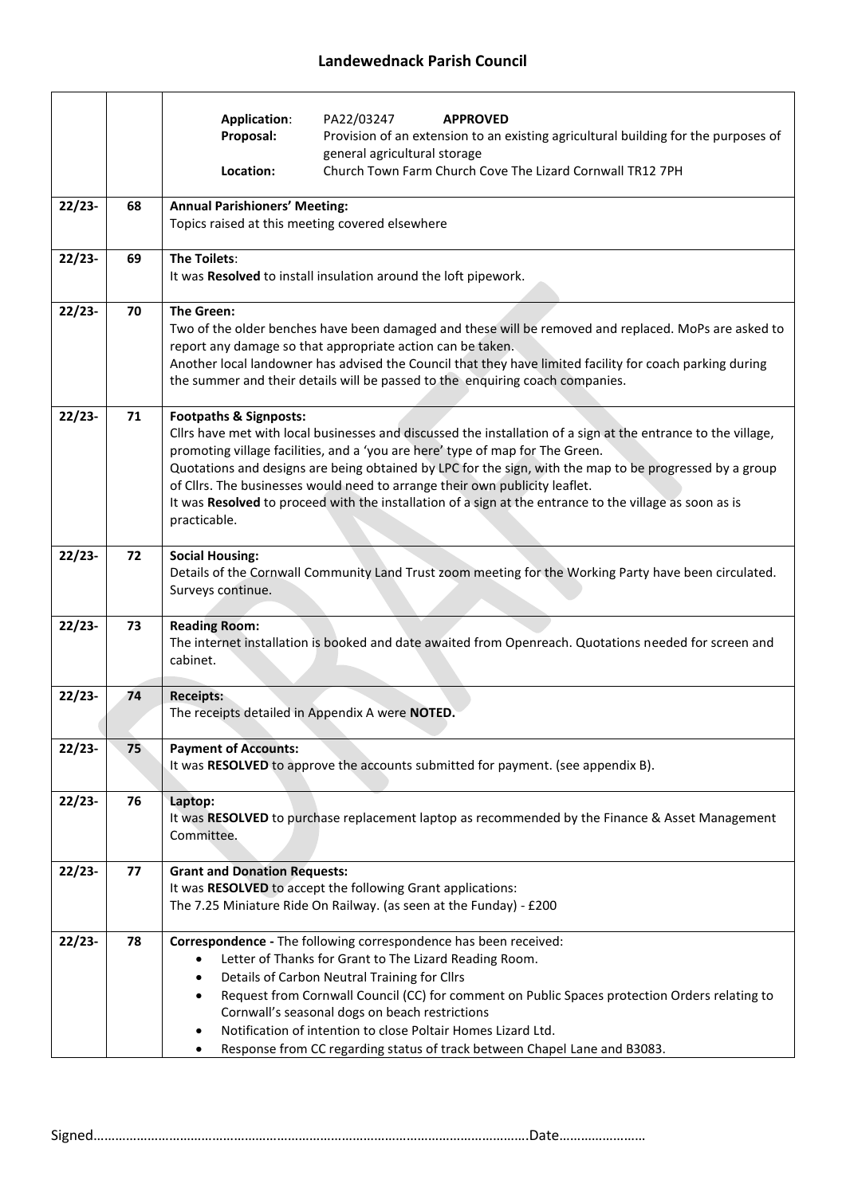|          |    | <b>Application:</b><br>PA22/03247<br><b>APPROVED</b>                                                                                                                                                                                                                                                                                                                                                                                                                                                                                                     |  |  |  |  |  |
|----------|----|----------------------------------------------------------------------------------------------------------------------------------------------------------------------------------------------------------------------------------------------------------------------------------------------------------------------------------------------------------------------------------------------------------------------------------------------------------------------------------------------------------------------------------------------------------|--|--|--|--|--|
|          |    | Proposal:<br>Provision of an extension to an existing agricultural building for the purposes of<br>general agricultural storage                                                                                                                                                                                                                                                                                                                                                                                                                          |  |  |  |  |  |
|          |    | Church Town Farm Church Cove The Lizard Cornwall TR12 7PH<br>Location:                                                                                                                                                                                                                                                                                                                                                                                                                                                                                   |  |  |  |  |  |
| $22/23-$ | 68 | <b>Annual Parishioners' Meeting:</b>                                                                                                                                                                                                                                                                                                                                                                                                                                                                                                                     |  |  |  |  |  |
|          |    | Topics raised at this meeting covered elsewhere                                                                                                                                                                                                                                                                                                                                                                                                                                                                                                          |  |  |  |  |  |
| $22/23-$ | 69 | <b>The Toilets:</b><br>It was Resolved to install insulation around the loft pipework.                                                                                                                                                                                                                                                                                                                                                                                                                                                                   |  |  |  |  |  |
| $22/23-$ | 70 | <b>The Green:</b><br>Two of the older benches have been damaged and these will be removed and replaced. MoPs are asked to<br>report any damage so that appropriate action can be taken.<br>Another local landowner has advised the Council that they have limited facility for coach parking during<br>the summer and their details will be passed to the enquiring coach companies.                                                                                                                                                                     |  |  |  |  |  |
| $22/23-$ | 71 | <b>Footpaths &amp; Signposts:</b><br>Cllrs have met with local businesses and discussed the installation of a sign at the entrance to the village,<br>promoting village facilities, and a 'you are here' type of map for The Green.<br>Quotations and designs are being obtained by LPC for the sign, with the map to be progressed by a group<br>of Cllrs. The businesses would need to arrange their own publicity leaflet.<br>It was Resolved to proceed with the installation of a sign at the entrance to the village as soon as is<br>practicable. |  |  |  |  |  |
| $22/23-$ | 72 | <b>Social Housing:</b><br>Details of the Cornwall Community Land Trust zoom meeting for the Working Party have been circulated.<br>Surveys continue.                                                                                                                                                                                                                                                                                                                                                                                                     |  |  |  |  |  |
| $22/23-$ | 73 | <b>Reading Room:</b><br>The internet installation is booked and date awaited from Openreach. Quotations needed for screen and<br>cabinet.                                                                                                                                                                                                                                                                                                                                                                                                                |  |  |  |  |  |
| $22/23-$ | 74 | <b>Receipts:</b><br>The receipts detailed in Appendix A were <b>NOTED</b> .                                                                                                                                                                                                                                                                                                                                                                                                                                                                              |  |  |  |  |  |
| $22/23-$ | 75 | <b>Payment of Accounts:</b><br>It was RESOLVED to approve the accounts submitted for payment. (see appendix B).                                                                                                                                                                                                                                                                                                                                                                                                                                          |  |  |  |  |  |
| $22/23-$ | 76 | Laptop:<br>It was RESOLVED to purchase replacement laptop as recommended by the Finance & Asset Management<br>Committee.                                                                                                                                                                                                                                                                                                                                                                                                                                 |  |  |  |  |  |
| $22/23-$ | 77 | <b>Grant and Donation Requests:</b><br>It was RESOLVED to accept the following Grant applications:<br>The 7.25 Miniature Ride On Railway. (as seen at the Funday) - £200                                                                                                                                                                                                                                                                                                                                                                                 |  |  |  |  |  |
| $22/23-$ | 78 | Correspondence - The following correspondence has been received:<br>Letter of Thanks for Grant to The Lizard Reading Room.<br>Details of Carbon Neutral Training for Cllrs<br>$\bullet$<br>Request from Cornwall Council (CC) for comment on Public Spaces protection Orders relating to<br>Cornwall's seasonal dogs on beach restrictions<br>Notification of intention to close Poltair Homes Lizard Ltd.<br>Response from CC regarding status of track between Chapel Lane and B3083.<br>$\bullet$                                                     |  |  |  |  |  |